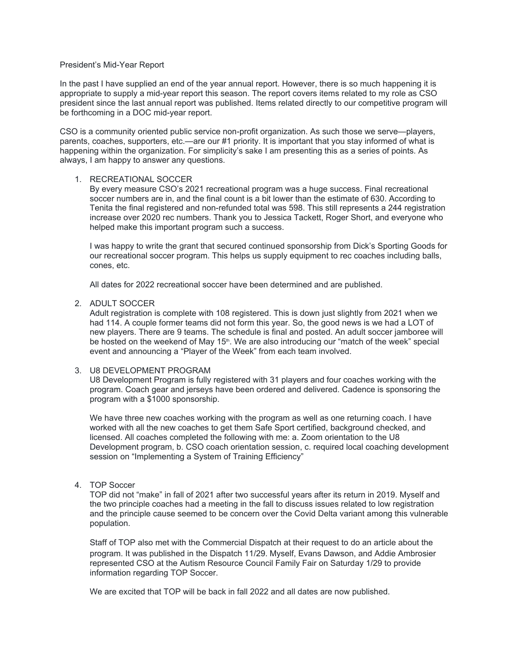#### President's Mid-Year Report

In the past I have supplied an end of the year annual report. However, there is so much happening it is appropriate to supply a mid-year report this season. The report covers items related to my role as CSO president since the last annual report was published. Items related directly to our competitive program will be forthcoming in a DOC mid-year report.

CSO is a community oriented public service non-profit organization. As such those we serve—players, parents, coaches, supporters, etc.—are our #1 priority. It is important that you stay informed of what is happening within the organization. For simplicity's sake I am presenting this as a series of points. As always, I am happy to answer any questions.

### 1. RECREATIONAL SOCCER

By every measure CSO's 2021 recreational program was a huge success. Final recreational soccer numbers are in, and the final count is a bit lower than the estimate of 630. According to Tenita the final registered and non-refunded total was 598. This still represents a 244 registration increase over 2020 rec numbers. Thank you to Jessica Tackett, Roger Short, and everyone who helped make this important program such a success.

I was happy to write the grant that secured continued sponsorship from Dick's Sporting Goods for our recreational soccer program. This helps us supply equipment to rec coaches including balls, cones, etc.

All dates for 2022 recreational soccer have been determined and are published.

#### 2. ADULT SOCCER

Adult registration is complete with 108 registered. This is down just slightly from 2021 when we had 114. A couple former teams did not form this year. So, the good news is we had a LOT of new players. There are 9 teams. The schedule is final and posted. An adult soccer jamboree will be hosted on the weekend of May 15<sup>th</sup>. We are also introducing our "match of the week" special event and announcing a "Player of the Week" from each team involved.

### 3. U8 DEVELOPMENT PROGRAM

U8 Development Program is fully registered with 31 players and four coaches working with the program. Coach gear and jerseys have been ordered and delivered. Cadence is sponsoring the program with a \$1000 sponsorship.

We have three new coaches working with the program as well as one returning coach. I have worked with all the new coaches to get them Safe Sport certified, background checked, and licensed. All coaches completed the following with me: a. Zoom orientation to the U8 Development program, b. CSO coach orientation session, c. required local coaching development session on "Implementing a System of Training Efficiency"

### 4. TOP Soccer

TOP did not "make" in fall of 2021 after two successful years after its return in 2019. Myself and the two principle coaches had a meeting in the fall to discuss issues related to low registration and the principle cause seemed to be concern over the Covid Delta variant among this vulnerable population.

Staff of TOP also met with the Commercial Dispatch at their request to do an article about the program. It was published in the Dispatch 11/29. Myself, Evans Dawson, and Addie Ambrosier represented CSO at the Autism Resource Council Family Fair on Saturday 1/29 to provide information regarding TOP Soccer.

We are excited that TOP will be back in fall 2022 and all dates are now published.